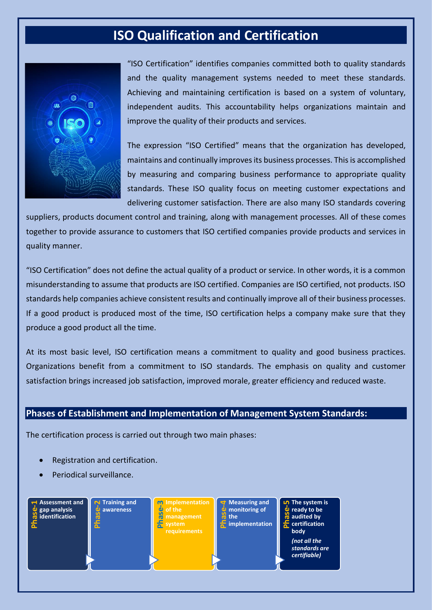## **ISO Qualification and Certification**



"ISO Certification" identifies companies committed both to quality standards and the quality management systems needed to meet these standards. Achieving and maintaining certification is based on a system of voluntary, independent audits. This accountability helps organizations maintain and improve the quality of their products and services.

The expression "ISO Certified" means that the organization has developed, maintains and continually improves its business processes. This is accomplished by measuring and comparing business performance to appropriate quality standards. These ISO quality focus on meeting customer expectations and delivering customer satisfaction. There are also many ISO standards covering

suppliers, products document control and training, along with management processes. All of these comes together to provide assurance to customers that ISO certified companies provide products and services in quality manner.

"ISO Certification" does not define the actual quality of a product or service. In other words, it is a common misunderstanding to assume that products are ISO certified. Companies are ISO certified, not products. ISO standards help companies achieve consistent results and continually improve all of their business processes. If a good product is produced most of the time, ISO certification helps a company make sure that they produce a good product all the time.

At its most basic level, ISO certification means a commitment to quality and good business practices. Organizations benefit from a commitment to ISO standards. The emphasis on quality and customer satisfaction brings increased job satisfaction, improved morale, greater efficiency and reduced waste.

## **Phases of Establishment and Implementation of Management System Standards:**

The certification process is carried out through two main phases:

- Registration and certification.
- Periodical surveillance.

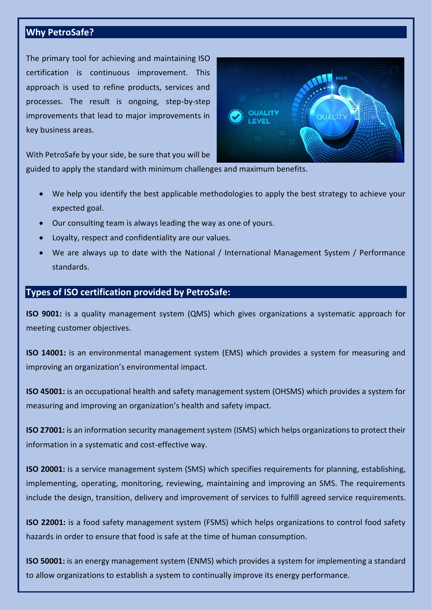## **Why PetroSafe?**

The primary tool for achieving and maintaining ISO certification is continuous improvement. This approach is used to refine products, services and processes. The result is ongoing, step-by-step improvements that lead to major improvements in key business areas.



With PetroSafe by your side, be sure that you will be

guided to apply the standard with minimum challenges and maximum benefits.

- We help you identify the best applicable methodologies to apply the best strategy to achieve your expected goal.
- Our consulting team is always leading the way as one of yours.
- Loyalty, respect and confidentiality are our values.
- We are always up to date with the National / International Management System / Performance standards.

## **Types of ISO certification provided by PetroSafe:**

**ISO 9001:** is a quality management system (QMS) which gives organizations a systematic approach for meeting customer objectives.

**ISO 14001:** is an environmental management system (EMS) which provides a system for measuring and improving an organization's environmental impact.

**ISO 45001:** is an occupational health and safety management system (OHSMS) which provides a system for measuring and improving an organization's health and safety impact.

**ISO 27001:** is an information security management system (ISMS) which helps organizations to protect their information in a systematic and cost-effective way.

**ISO 20001:** is a service management system (SMS) which specifies requirements for planning, establishing, implementing, operating, monitoring, reviewing, maintaining and improving an SMS. The requirements include the design, transition, delivery and improvement of services to fulfill agreed service requirements.

**ISO 22001:** is a food safety management system (FSMS) which helps organizations to control food safety hazards in order to ensure that food is safe at the time of human consumption.

**ISO 50001:** is an energy management system (ENMS) which provides a system for implementing a standard to allow organizations to establish a system to continually improve its energy performance.